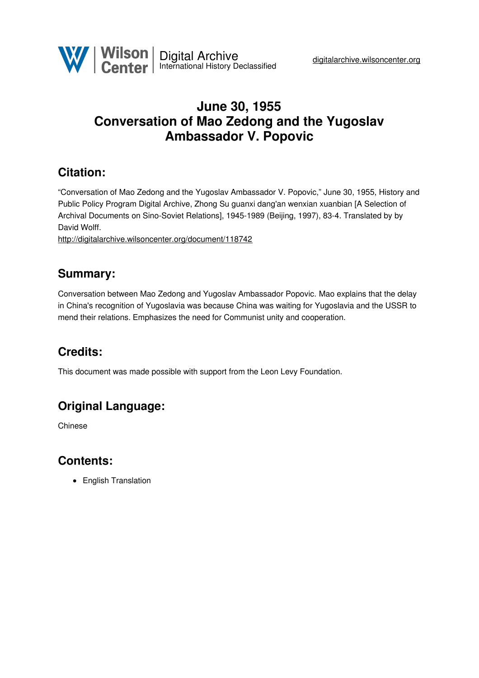# **June 30, 1955 Conversation of Mao Zedong and the Yugoslav Ambassador V. Popovic**

# **Citation:**

"Conversation of Mao Zedong and the Yugoslav Ambassador V. Popovic," June 30, 1955, History and Public Policy Program Digital Archive, Zhong Su guanxi dang'an wenxian xuanbian [A Selection of Archival Documents on Sino-Soviet Relations], 1945-1989 (Beijing, 1997), 83-4. Translated by by David Wolff.

<http://digitalarchive.wilsoncenter.org/document/118742>

### **Summary:**

Conversation between Mao Zedong and Yugoslav Ambassador Popovic. Mao explains that the delay in China's recognition of Yugoslavia was because China was waiting for Yugoslavia and the USSR to mend their relations. Emphasizes the need for Communist unity and cooperation.

## **Credits:**

This document was made possible with support from the Leon Levy Foundation.

## **Original Language:**

Chinese

### **Contents:**

• English Translation